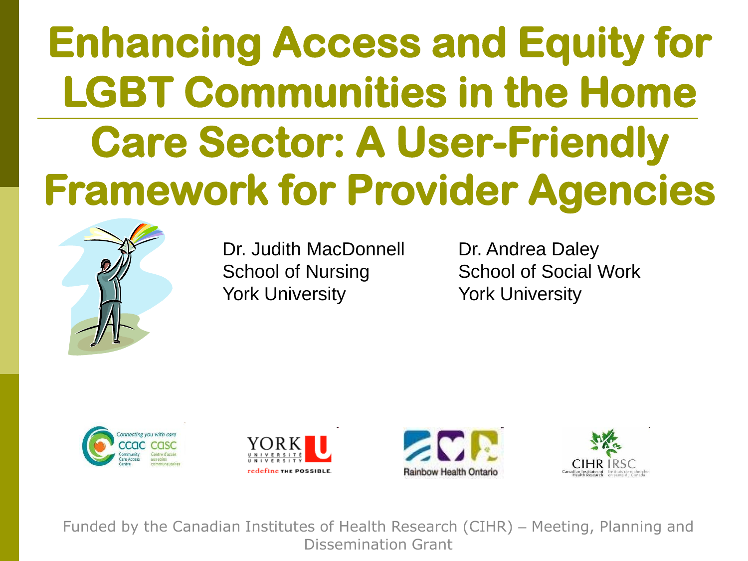## **Enhancing Access and Equity for LGBT Communities in the Home Care Sector: A User-Friendly Framework for Provider Agencies**



Dr. Judith MacDonnell School of Nursing York University

Dr. Andrea Daley School of Social Work York University









Funded by the Canadian Institutes of Health Research (CIHR) – Meeting, Planning and Dissemination Grant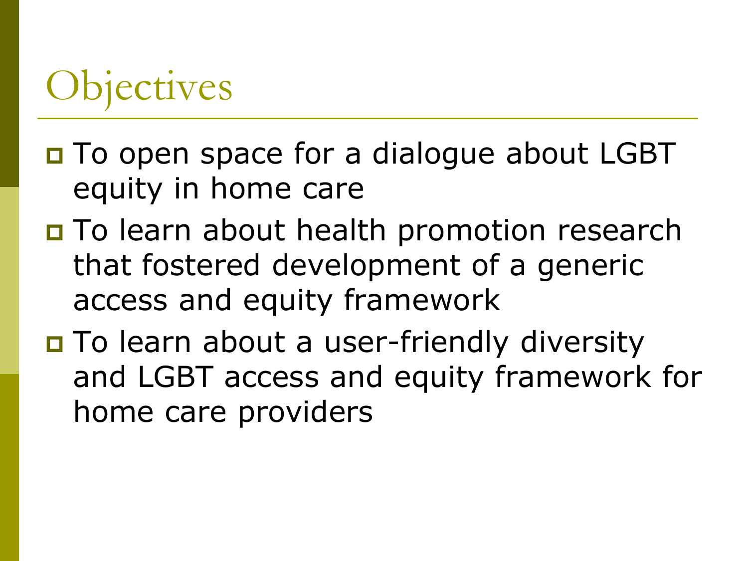#### **Objectives**

- □ To open space for a dialogue about LGBT equity in home care
- □ To learn about health promotion research that fostered development of a generic access and equity framework
- □ To learn about a user-friendly diversity and LGBT access and equity framework for home care providers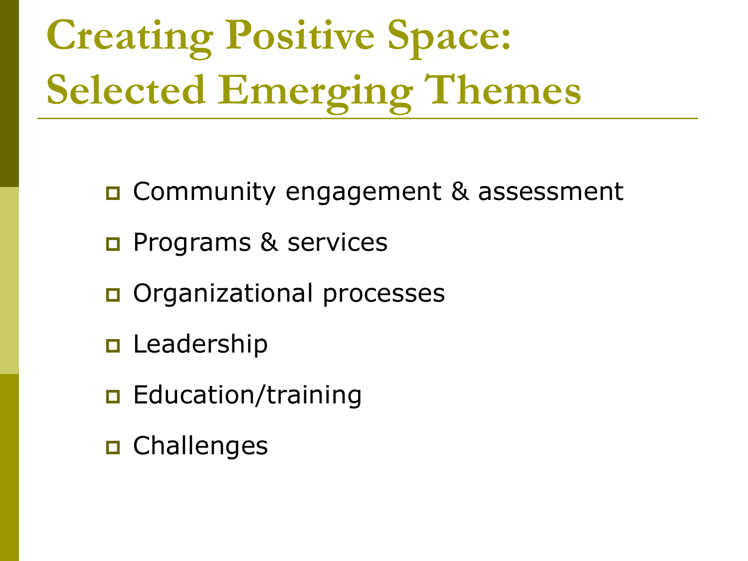# **Creating Positive Space: Selected Emerging Themes**

- Community engagement & assessment
- **Programs & services**
- **O** Organizational processes
- **D** Leadership
- **Education/training**
- D Challenges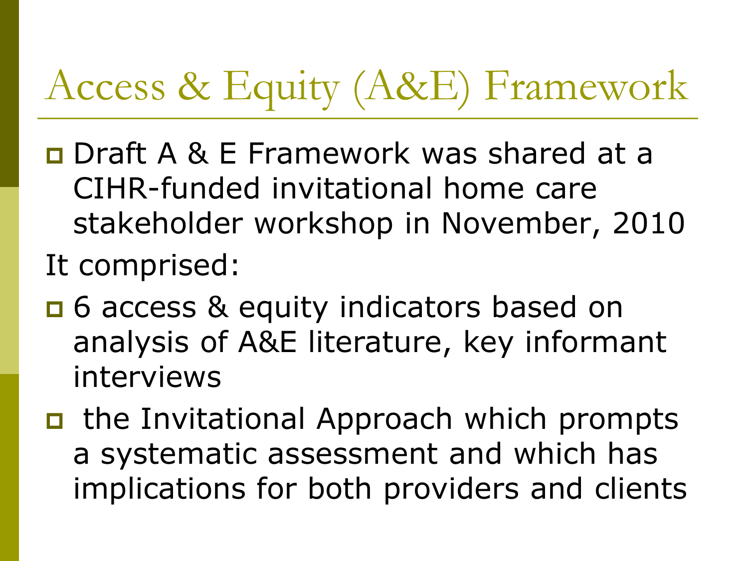#### Access & Equity (A&E) Framework

- **Draft A & E Framework was shared at a** CIHR-funded invitational home care stakeholder workshop in November, 2010 It comprised:
- □ 6 access & equity indicators based on analysis of A&E literature, key informant interviews
- **n** the Invitational Approach which prompts a systematic assessment and which has implications for both providers and clients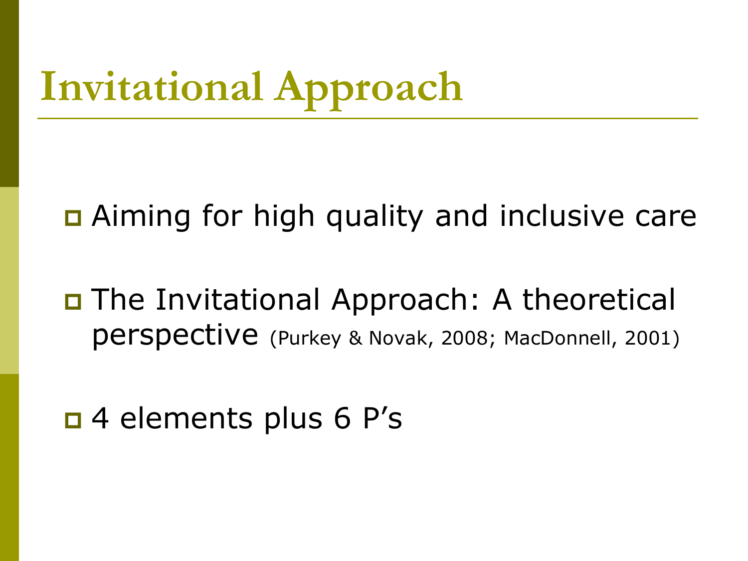### **Invitational Approach**

□ Aiming for high quality and inclusive care

- The Invitational Approach: A theoretical perspective (Purkey & Novak, 2008; MacDonnell, 2001)
- □ 4 elements plus 6 P's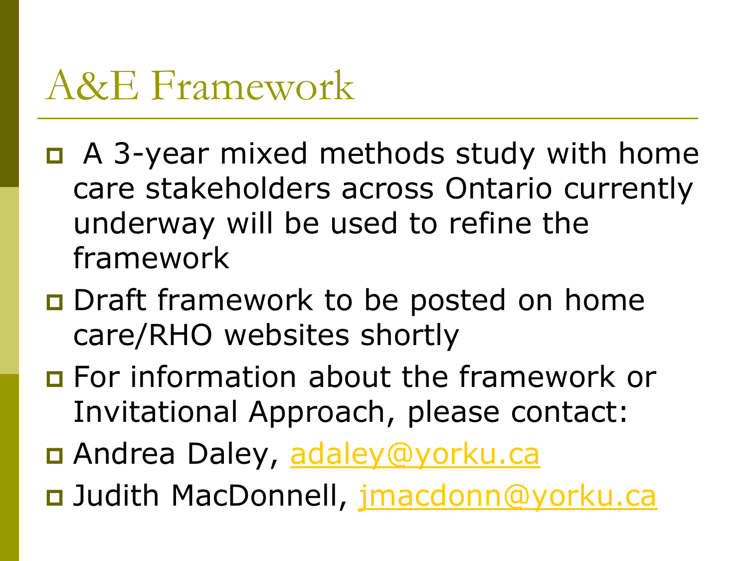#### A&E Framework

- $\Box$  A 3-year mixed methods study with home care stakeholders across Ontario currently underway will be used to refine the framework
- □ Draft framework to be posted on home care/RHO websites shortly
- **D** For information about the framework or Invitational Approach, please contact:
- Andrea Daley, [adaley@yorku.ca](mailto:adaley@yorku.ca)
- D Judith MacDonnell, *imacdonn@yorku.ca*